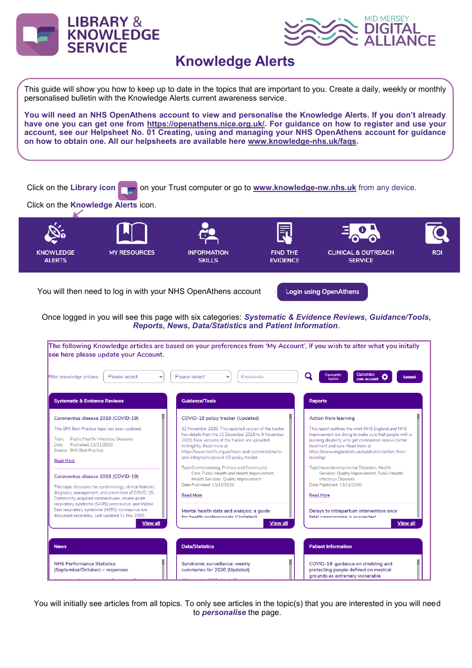



## **Knowledge Alerts**

This guide will show you how to keep up to date in the topics that are important to you. Create a daily, weekly or monthly personalised bulletin with the Knowledge Alerts current awareness service.

**You will need an NHS OpenAthens account to view and personalise the Knowledge Alerts. If you don't already have one you can get one from [https://openathens.nice.org.uk/.](https://openathens.nice.org.uk) For guidance on how to register and use your account, see our Helpsheet No. 01 Creating, using and managing your NHS OpenAthens account for guidance on how to obtain one. All our helpsheets are available here [www.knowledge](https://www.knowledge-nw.nhs.uk/faqs)-nhs.uk/faqs.**



You will initially see articles from all topics. To only see articles in the topic(s) that you are interested in you will need to *personalise* the page.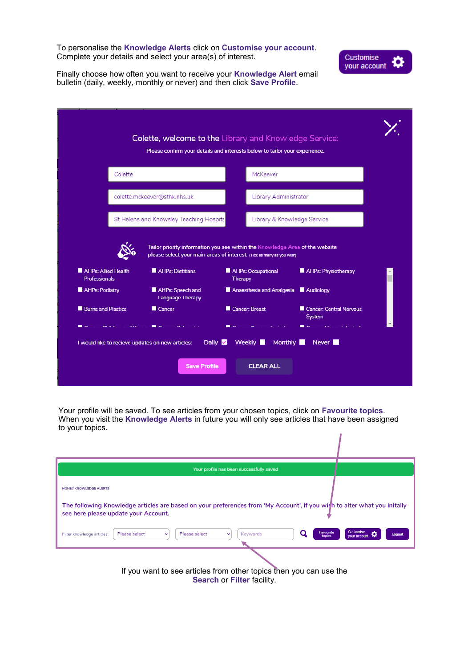To personalise the **Knowledge Alerts** click on **Customise your account**. Complete your details and select your area(s) of interest.



Finally choose how often you want to receive your **Knowledge Alert** email bulletin (daily, weekly, monthly or never) and then click **Save Profile**.

|                                             | Colette                                  |                                             | McKeever                  |                             |  |
|---------------------------------------------|------------------------------------------|---------------------------------------------|---------------------------|-----------------------------|--|
|                                             | colette.mckeever@sthk.nhs.uk             |                                             | Library Administrator     |                             |  |
|                                             | St Helens and Knowsley Teaching Hospital |                                             |                           | Library & Knowledge Service |  |
| AHPs: Allied Health<br><b>Professionals</b> |                                          | AHPs: Dietitians                            | AHPs: Occupational        | AHPs: Physiotherapy         |  |
|                                             |                                          |                                             | Therapy                   |                             |  |
| AHPs: Podiatry                              |                                          | AHPs: Speech and<br><b>Language Therapy</b> | Anaesthesia and Analgesia | Audiology                   |  |

Your profile will be saved. To see articles from your chosen topics, click on **Favourite topics**. When you visit the **Knowledge Alerts** in future you will only see articles that have been assigned to your topics.

| Your profile has been successfully saved                                                                                                                         |                                            |
|------------------------------------------------------------------------------------------------------------------------------------------------------------------|--------------------------------------------|
| <b>HOME// KNOWLEDGE ALERTS</b>                                                                                                                                   |                                            |
| The following Knowledge articles are based on your preferences from 'My Account', if you wish to alter what you initally<br>see here please update your Account. |                                            |
| Favourite<br>Keywords<br>Please select<br>Please select<br>Filter knowledge articles:<br>v<br>$\checkmark$<br>topics                                             | <b>Customise</b><br>Logout<br>vour account |
| If you want to see articles from other topics then you can use the                                                                                               |                                            |

**Search** or **Filter** facility.